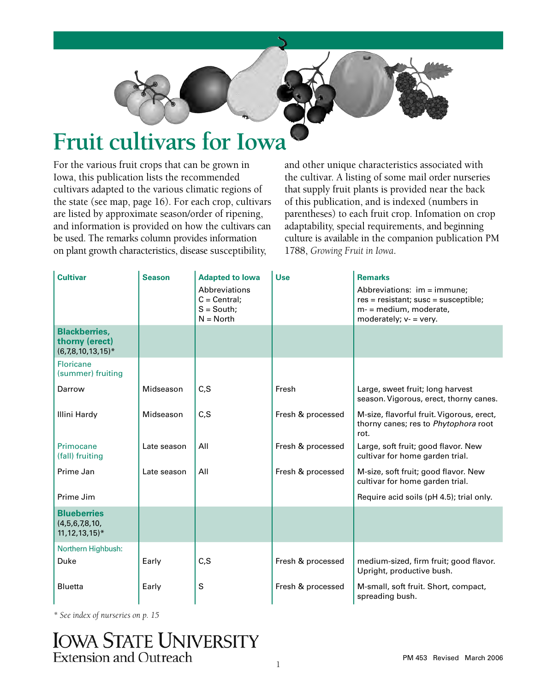

# **Fruit cultivars for Iowa**

For the various fruit crops that can be grown in Iowa, this publication lists the recommended cultivars adapted to the various climatic regions of the state (see map, page 16). For each crop, cultivars are listed by approximate season/order of ripening, and information is provided on how the cultivars can be used. The remarks column provides information on plant growth characteristics, disease susceptibility,

and other unique characteristics associated with the cultivar. A listing of some mail order nurseries that supply fruit plants is provided near the back of this publication, and is indexed (numbers in parentheses) to each fruit crop. Infomation on crop adaptability, special requirements, and beginning culture is available in the companion publication PM 1788, *Growing Fruit in Iowa*.

| <b>Cultivar</b>                                                       | <b>Season</b> | <b>Adapted to lowa</b><br>Abbreviations<br>$C = Central;$<br>$S = South;$<br>$N = North$ | <b>Use</b>        | <b>Remarks</b><br>Abbreviations: im = immune;<br>$res = resistant$ ; susc = susceptible;<br>m- = medium, moderate,<br>moderately; $v = v$ ery. |
|-----------------------------------------------------------------------|---------------|------------------------------------------------------------------------------------------|-------------------|------------------------------------------------------------------------------------------------------------------------------------------------|
| <b>Blackberries,</b><br>thorny (erect)<br>$(6,7,8,10,13,15)^*$        |               |                                                                                          |                   |                                                                                                                                                |
| <b>Floricane</b><br>(summer) fruiting                                 |               |                                                                                          |                   |                                                                                                                                                |
| Darrow                                                                | Midseason     | C, S                                                                                     | Fresh             | Large, sweet fruit; long harvest<br>season. Vigorous, erect, thorny canes.                                                                     |
| Illini Hardy                                                          | Midseason     | C, S                                                                                     | Fresh & processed | M-size, flavorful fruit. Vigorous, erect,<br>thorny canes; res to Phytophora root<br>rot.                                                      |
| Primocane<br>(fall) fruiting                                          | Late season   | All                                                                                      | Fresh & processed | Large, soft fruit; good flavor. New<br>cultivar for home garden trial.                                                                         |
| Prime Jan                                                             | Late season   | All                                                                                      | Fresh & processed | M-size, soft fruit; good flavor. New<br>cultivar for home garden trial.                                                                        |
| Prime Jim                                                             |               |                                                                                          |                   | Require acid soils (pH 4.5); trial only.                                                                                                       |
| <b>Blueberries</b><br>(4,5,6,7,8,10,<br>$11, 12, 13, 15$ <sup>*</sup> |               |                                                                                          |                   |                                                                                                                                                |
| Northern Highbush:                                                    |               |                                                                                          |                   |                                                                                                                                                |
| Duke                                                                  | Early         | C, S                                                                                     | Fresh & processed | medium-sized, firm fruit; good flavor.<br>Upright, productive bush.                                                                            |
| <b>Bluetta</b>                                                        | Early         | S                                                                                        | Fresh & processed | M-small, soft fruit. Short, compact,<br>spreading bush.                                                                                        |

*\* See index of nurseries on p. 15*

# **IOWA STATE UNIVERSITY Extension and Outreach**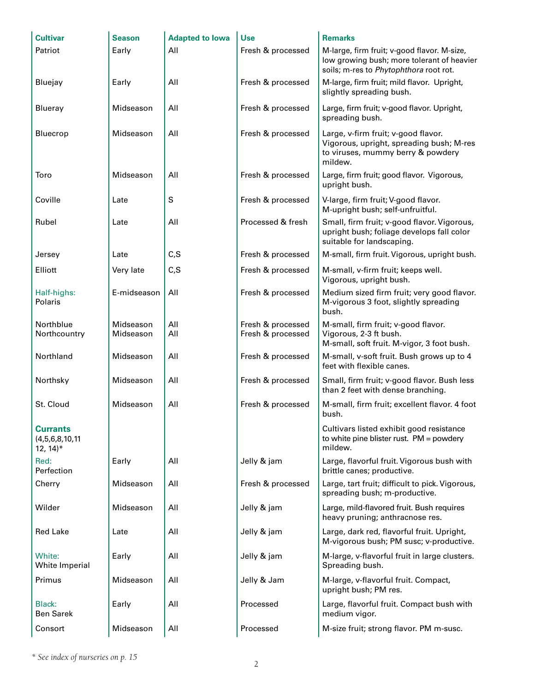| <b>Cultivar</b>                                                  | <b>Season</b>          | <b>Adapted to lowa</b> | <b>Use</b>                             | <b>Remarks</b>                                                                                                                      |
|------------------------------------------------------------------|------------------------|------------------------|----------------------------------------|-------------------------------------------------------------------------------------------------------------------------------------|
| Patriot                                                          | Early                  | All                    | Fresh & processed                      | M-large, firm fruit; v-good flavor. M-size,<br>low growing bush; more tolerant of heavier<br>soils; m-res to Phytophthora root rot. |
| Bluejay                                                          | Early                  | All                    | Fresh & processed                      | M-large, firm fruit; mild flavor. Upright,<br>slightly spreading bush.                                                              |
| Blueray                                                          | Midseason              | All                    | Fresh & processed                      | Large, firm fruit; v-good flavor. Upright,<br>spreading bush.                                                                       |
| Bluecrop                                                         | Midseason              | All                    | Fresh & processed                      | Large, v-firm fruit; v-good flavor.<br>Vigorous, upright, spreading bush; M-res<br>to viruses, mummy berry & powdery<br>mildew.     |
| Toro                                                             | Midseason              | All                    | Fresh & processed                      | Large, firm fruit; good flavor. Vigorous,<br>upright bush.                                                                          |
| Coville                                                          | Late                   | S                      | Fresh & processed                      | V-large, firm fruit; V-good flavor.<br>M-upright bush; self-unfruitful.                                                             |
| Rubel                                                            | Late                   | All                    | Processed & fresh                      | Small, firm fruit; v-good flavor. Vigorous,<br>upright bush; foliage develops fall color<br>suitable for landscaping.               |
| Jersey                                                           | Late                   | C, S                   | Fresh & processed                      | M-small, firm fruit. Vigorous, upright bush.                                                                                        |
| Elliott                                                          | Very late              | C, S                   | Fresh & processed                      | M-small, v-firm fruit; keeps well.<br>Vigorous, upright bush.                                                                       |
| Half-highs:<br>Polaris                                           | E-midseason            | All                    | Fresh & processed                      | Medium sized firm fruit; very good flavor.<br>M-vigorous 3 foot, slightly spreading<br>bush.                                        |
| Northblue<br>Northcountry                                        | Midseason<br>Midseason | All<br>All             | Fresh & processed<br>Fresh & processed | M-small, firm fruit; v-good flavor.<br>Vigorous, 2-3 ft bush.<br>M-small, soft fruit. M-vigor, 3 foot bush.                         |
| Northland                                                        | Midseason              | All                    | Fresh & processed                      | M-small, v-soft fruit. Bush grows up to 4<br>feet with flexible canes.                                                              |
| Northsky                                                         | Midseason              | All                    | Fresh & processed                      | Small, firm fruit; v-good flavor. Bush less<br>than 2 feet with dense branching.                                                    |
| St. Cloud                                                        | Midseason              | All                    | Fresh & processed                      | M-small, firm fruit; excellent flavor. 4 foot<br>bush.                                                                              |
| <b>Currants</b><br>(4, 5, 6, 8, 10, 11)<br>$12, 14$ <sup>*</sup> |                        |                        |                                        | Cultivars listed exhibit good resistance<br>to white pine blister rust. $PM =$ powdery<br>mildew.                                   |
| Red:<br>Perfection                                               | Early                  | All                    | Jelly & jam                            | Large, flavorful fruit. Vigorous bush with<br>brittle canes; productive.                                                            |
| Cherry                                                           | Midseason              | All                    | Fresh & processed                      | Large, tart fruit; difficult to pick. Vigorous,<br>spreading bush; m-productive.                                                    |
| Wilder                                                           | Midseason              | All                    | Jelly & jam                            | Large, mild-flavored fruit. Bush requires<br>heavy pruning; anthracnose res.                                                        |
| <b>Red Lake</b>                                                  | Late                   | All                    | Jelly & jam                            | Large, dark red, flavorful fruit. Upright,<br>M-vigorous bush; PM susc; v-productive.                                               |
| White:<br>White Imperial                                         | Early                  | All                    | Jelly & jam                            | M-large, v-flavorful fruit in large clusters.<br>Spreading bush.                                                                    |
| Primus                                                           | Midseason              | All                    | Jelly & Jam                            | M-large, v-flavorful fruit. Compact,<br>upright bush; PM res.                                                                       |
| Black:<br><b>Ben Sarek</b>                                       | Early                  | All                    | Processed                              | Large, flavorful fruit. Compact bush with<br>medium vigor.                                                                          |
| Consort                                                          | Midseason              | All                    | Processed                              | M-size fruit; strong flavor. PM m-susc.                                                                                             |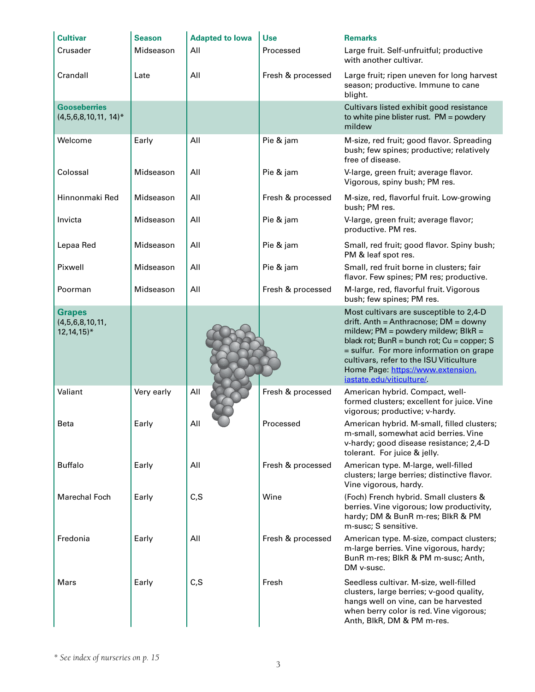| <b>Cultivar</b>                                               | <b>Season</b> | <b>Adapted to lowa</b> | <b>Use</b>        | <b>Remarks</b>                                                                                                                                                                                                                                                                                                                      |
|---------------------------------------------------------------|---------------|------------------------|-------------------|-------------------------------------------------------------------------------------------------------------------------------------------------------------------------------------------------------------------------------------------------------------------------------------------------------------------------------------|
| Crusader                                                      | Midseason     | All                    | Processed         | Large fruit. Self-unfruitful; productive<br>with another cultivar.                                                                                                                                                                                                                                                                  |
| Crandall                                                      | Late          | All                    | Fresh & processed | Large fruit; ripen uneven for long harvest<br>season; productive. Immune to cane<br>blight.                                                                                                                                                                                                                                         |
| <b>Gooseberries</b><br>$(4,5,6,8,10,11, 14)^*$                |               |                        |                   | Cultivars listed exhibit good resistance<br>to white pine blister rust. $PM = power$<br>mildew                                                                                                                                                                                                                                      |
| Welcome                                                       | Early         | All                    | Pie & jam         | M-size, red fruit; good flavor. Spreading<br>bush; few spines; productive; relatively<br>free of disease.                                                                                                                                                                                                                           |
| Colossal                                                      | Midseason     | All                    | Pie & jam         | V-large, green fruit; average flavor.<br>Vigorous, spiny bush; PM res.                                                                                                                                                                                                                                                              |
| Hinnonmaki Red                                                | Midseason     | All                    | Fresh & processed | M-size, red, flavorful fruit. Low-growing<br>bush; PM res.                                                                                                                                                                                                                                                                          |
| Invicta                                                       | Midseason     | All                    | Pie & jam         | V-large, green fruit; average flavor;<br>productive. PM res.                                                                                                                                                                                                                                                                        |
| Lepaa Red                                                     | Midseason     | All                    | Pie & jam         | Small, red fruit; good flavor. Spiny bush;<br>PM & leaf spot res.                                                                                                                                                                                                                                                                   |
| Pixwell                                                       | Midseason     | All                    | Pie & jam         | Small, red fruit borne in clusters; fair<br>flavor. Few spines; PM res; productive.                                                                                                                                                                                                                                                 |
| Poorman                                                       | Midseason     | All                    | Fresh & processed | M-large, red, flavorful fruit. Vigorous<br>bush; few spines; PM res.                                                                                                                                                                                                                                                                |
| <b>Grapes</b><br>(4,5,6,8,10,11,<br>$12, 14, 15$ <sup>*</sup> |               |                        |                   | Most cultivars are susceptible to 2,4-D<br>drift. Anth = Anthracnose; $DM =$ downy<br>mildew; $PM =$ powdery mildew; $BlkR =$<br>black rot; BunR = bunch rot; Cu = copper; S<br>= sulfur. For more information on grape<br>cultivars, refer to the ISU Viticulture<br>Home Page: https://www.extension.<br>iastate.edu/viticulture/ |
| Valiant                                                       | Very early    | All                    | Fresh & processed | American hybrid. Compact, well-<br>formed clusters; excellent for juice. Vine<br>vigorous; productive; v-hardy.                                                                                                                                                                                                                     |
| Beta                                                          | Early         | All                    | Processed         | American hybrid. M-small, filled clusters;<br>m-small, somewhat acid berries. Vine<br>v-hardy; good disease resistance; 2,4-D<br>tolerant. For juice & jelly.                                                                                                                                                                       |
| <b>Buffalo</b>                                                | Early         | All                    | Fresh & processed | American type. M-large, well-filled<br>clusters; large berries; distinctive flavor.<br>Vine vigorous, hardy.                                                                                                                                                                                                                        |
| <b>Marechal Foch</b>                                          | Early         | C, S                   | Wine              | (Foch) French hybrid. Small clusters &<br>berries. Vine vigorous; low productivity,<br>hardy; DM & BunR m-res; BlkR & PM<br>m-susc; S sensitive.                                                                                                                                                                                    |
| Fredonia                                                      | Early         | All                    | Fresh & processed | American type. M-size, compact clusters;<br>m-large berries. Vine vigorous, hardy;<br>BunR m-res; BlkR & PM m-susc; Anth,<br>DM v-susc.                                                                                                                                                                                             |
| Mars                                                          | Early         | C, S                   | Fresh             | Seedless cultivar. M-size, well-filled<br>clusters, large berries; v-good quality,<br>hangs well on vine, can be harvested<br>when berry color is red. Vine vigorous;<br>Anth, BlkR, DM & PM m-res.                                                                                                                                 |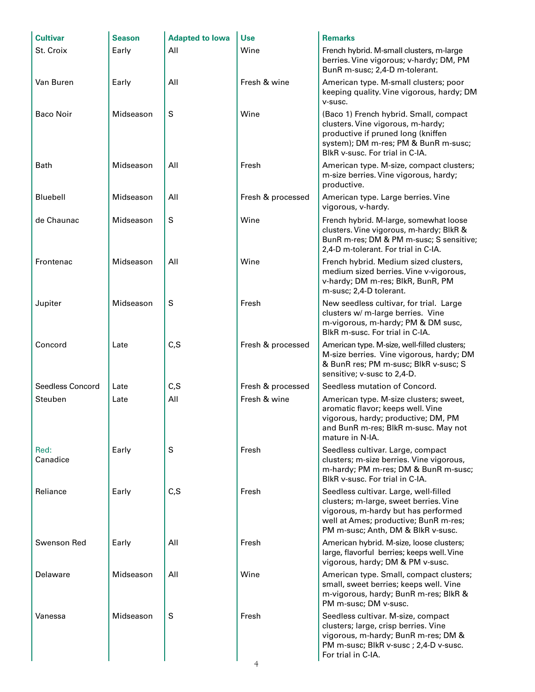| <b>Cultivar</b>  | <b>Season</b> | <b>Adapted to lowa</b> | <b>Use</b>        | <b>Remarks</b>                                                                                                                                                                                        |
|------------------|---------------|------------------------|-------------------|-------------------------------------------------------------------------------------------------------------------------------------------------------------------------------------------------------|
| St. Croix        | Early         | All                    | Wine              | French hybrid. M-small clusters, m-large<br>berries. Vine vigorous; v-hardy; DM, PM<br>BunR m-susc; 2,4-D m-tolerant.                                                                                 |
| Van Buren        | Early         | All                    | Fresh & wine      | American type. M-small clusters; poor<br>keeping quality. Vine vigorous, hardy; DM<br>v-susc.                                                                                                         |
| <b>Baco Noir</b> | Midseason     | $\mathsf S$            | Wine              | (Baco 1) French hybrid. Small, compact<br>clusters. Vine vigorous, m-hardy;<br>productive if pruned long (kniffen<br>system); DM m-res; PM & BunR m-susc;<br>BlkR v-susc. For trial in C-IA.          |
| <b>Bath</b>      | Midseason     | All                    | Fresh             | American type. M-size, compact clusters;<br>m-size berries. Vine vigorous, hardy;<br>productive.                                                                                                      |
| Bluebell         | Midseason     | All                    | Fresh & processed | American type. Large berries. Vine<br>vigorous, v-hardy.                                                                                                                                              |
| de Chaunac       | Midseason     | $\mathsf S$            | Wine              | French hybrid. M-large, somewhat loose<br>clusters. Vine vigorous, m-hardy; BlkR &<br>BunR m-res; DM & PM m-susc; S sensitive;<br>2,4-D m-tolerant. For trial in C-IA.                                |
| Frontenac        | Midseason     | All                    | Wine              | French hybrid. Medium sized clusters,<br>medium sized berries. Vine v-vigorous,<br>v-hardy; DM m-res; BlkR, BunR, PM<br>m-susc; 2,4-D tolerant.                                                       |
| Jupiter          | Midseason     | S                      | Fresh             | New seedless cultivar, for trial. Large<br>clusters w/ m-large berries. Vine<br>m-vigorous, m-hardy; PM & DM susc,<br>BlkR m-susc. For trial in C-IA.                                                 |
| Concord          | Late          | C, S                   | Fresh & processed | American type. M-size, well-filled clusters;<br>M-size berries. Vine vigorous, hardy; DM<br>& BunR res; PM m-susc; BlkR v-susc; S<br>sensitive; v-susc to 2,4-D.                                      |
| Seedless Concord | Late          | C, S                   | Fresh & processed | Seedless mutation of Concord.                                                                                                                                                                         |
| Steuben          | Late          | All                    | Fresh & wine      | American type. M-size clusters; sweet,<br>aromatic flavor; keeps well. Vine<br>vigorous, hardy; productive; DM, PM<br>and BunR m-res; BlkR m-susc. May not<br>mature in N-IA.                         |
| Red:<br>Canadice | Early         | S                      | Fresh             | Seedless cultivar. Large, compact<br>clusters; m-size berries. Vine vigorous,<br>m-hardy; PM m-res; DM & BunR m-susc;<br>BlkR v-susc. For trial in C-IA.                                              |
| Reliance         | Early         | C, S                   | Fresh             | Seedless cultivar. Large, well-filled<br>clusters; m-large, sweet berries. Vine<br>vigorous, m-hardy but has performed<br>well at Ames; productive; BunR m-res;<br>PM m-susc; Anth, DM & BlkR v-susc. |
| Swenson Red      | Early         | All                    | Fresh             | American hybrid. M-size, loose clusters;<br>large, flavorful berries; keeps well. Vine<br>vigorous, hardy; DM & PM v-susc.                                                                            |
| Delaware         | Midseason     | All                    | Wine              | American type. Small, compact clusters;<br>small, sweet berries; keeps well. Vine<br>m-vigorous, hardy; BunR m-res; BlkR &<br>PM m-susc; DM v-susc.                                                   |
| Vanessa          | Midseason     | S                      | Fresh             | Seedless cultivar. M-size, compact<br>clusters; large, crisp berries. Vine<br>vigorous, m-hardy; BunR m-res; DM &<br>PM m-susc; BlkR v-susc ; 2,4-D v-susc.<br>For trial in C-IA.                     |
|                  |               |                        |                   |                                                                                                                                                                                                       |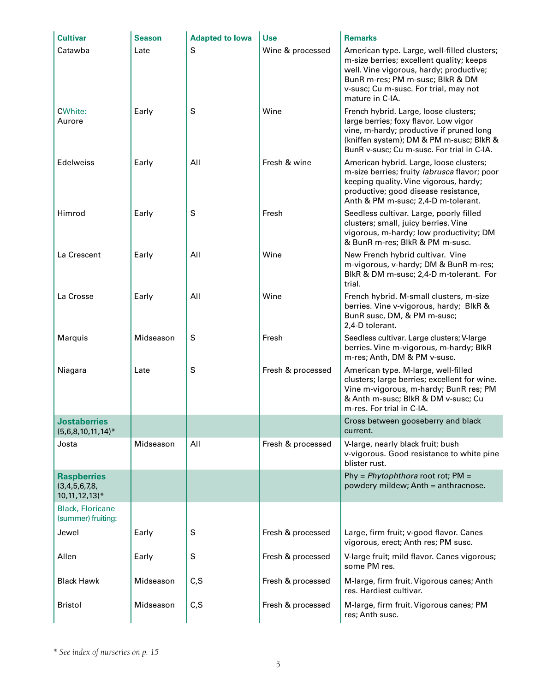| <b>Cultivar</b>                                                      | <b>Season</b> | <b>Adapted to lowa</b> | <b>Use</b>        | <b>Remarks</b>                                                                                                                                                                                                                     |
|----------------------------------------------------------------------|---------------|------------------------|-------------------|------------------------------------------------------------------------------------------------------------------------------------------------------------------------------------------------------------------------------------|
| Catawba                                                              | Late          | S                      | Wine & processed  | American type. Large, well-filled clusters;<br>m-size berries; excellent quality; keeps<br>well. Vine vigorous, hardy; productive;<br>BunR m-res; PM m-susc; BlkR & DM<br>v-susc; Cu m-susc. For trial, may not<br>mature in C-IA. |
| <b>CWhite:</b><br>Aurore                                             | Early         | S                      | Wine              | French hybrid. Large, loose clusters;<br>large berries; foxy flavor. Low vigor<br>vine, m-hardy; productive if pruned long<br>(kniffen system); DM & PM m-susc; BlkR &<br>BunR v-susc; Cu m-susc. For trial in C-IA.               |
| <b>Edelweiss</b>                                                     | Early         | All                    | Fresh & wine      | American hybrid. Large, loose clusters;<br>m-size berries; fruity labrusca flavor; poor<br>keeping quality. Vine vigorous, hardy;<br>productive; good disease resistance,<br>Anth & PM m-susc; 2,4-D m-tolerant.                   |
| Himrod                                                               | Early         | S                      | Fresh             | Seedless cultivar. Large, poorly filled<br>clusters; small, juicy berries. Vine<br>vigorous, m-hardy; low productivity; DM<br>& BunR m-res; BlkR & PM m-susc.                                                                      |
| La Crescent                                                          | Early         | All                    | Wine              | New French hybrid cultivar. Vine<br>m-vigorous, v-hardy; DM & BunR m-res;<br>BlkR & DM m-susc; 2,4-D m-tolerant. For<br>trial.                                                                                                     |
| La Crosse                                                            | Early         | All                    | Wine              | French hybrid. M-small clusters, m-size<br>berries. Vine v-vigorous, hardy; BlkR &<br>BunR susc, DM, & PM m-susc;<br>2,4-D tolerant.                                                                                               |
| Marquis                                                              | Midseason     | S                      | Fresh             | Seedless cultivar. Large clusters; V-large<br>berries. Vine m-vigorous, m-hardy; BlkR<br>m-res; Anth, DM & PM v-susc.                                                                                                              |
| Niagara                                                              | Late          | S                      | Fresh & processed | American type. M-large, well-filled<br>clusters; large berries; excellent for wine.<br>Vine m-vigorous, m-hardy; BunR res; PM<br>& Anth m-susc; BlkR & DM v-susc; Cu<br>m-res. For trial in C-IA.                                  |
| <b>Jostaberries</b><br>$(5,6,8,10,11,14)^*$                          |               |                        |                   | Cross between gooseberry and black<br>current.                                                                                                                                                                                     |
| Josta                                                                | Midseason     | All                    | Fresh & processed | V-large, nearly black fruit; bush<br>v-vigorous. Good resistance to white pine<br>blister rust.                                                                                                                                    |
| <b>Raspberries</b><br>(3,4,5,6,7,8,<br>$10, 11, 12, 13$ <sup>*</sup> |               |                        |                   | Phy = $Phytophthora$ root rot; PM =<br>powdery mildew; Anth = anthracnose.                                                                                                                                                         |
| <b>Black, Floricane</b><br>(summer) fruiting:                        |               |                        |                   |                                                                                                                                                                                                                                    |
| Jewel                                                                | Early         | S                      | Fresh & processed | Large, firm fruit; v-good flavor. Canes<br>vigorous, erect; Anth res; PM susc.                                                                                                                                                     |
| Allen                                                                | Early         | $\mathsf S$            | Fresh & processed | V-large fruit; mild flavor. Canes vigorous;<br>some PM res.                                                                                                                                                                        |
| <b>Black Hawk</b>                                                    | Midseason     | C, S                   | Fresh & processed | M-large, firm fruit. Vigorous canes; Anth<br>res. Hardiest cultivar.                                                                                                                                                               |
| <b>Bristol</b>                                                       | Midseason     | C, S                   | Fresh & processed | M-large, firm fruit. Vigorous canes; PM<br>res; Anth susc.                                                                                                                                                                         |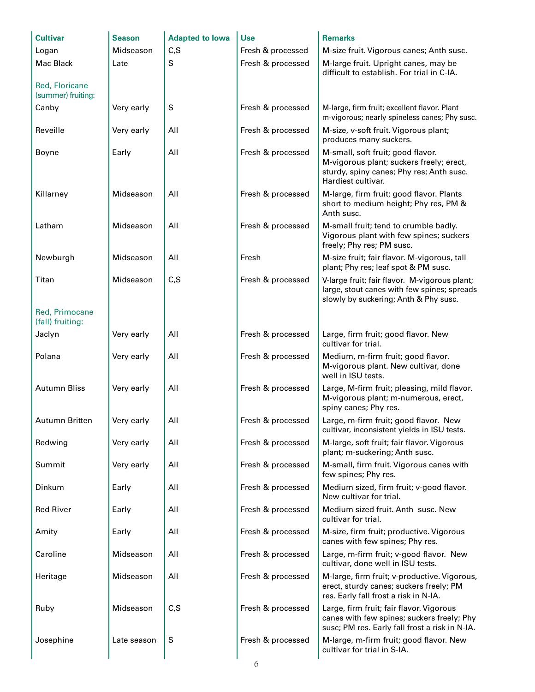| <b>Cultivar</b>                      | <b>Season</b> | <b>Adapted to lowa</b> | <b>Use</b>        | <b>Remarks</b>                                                                                                                                  |
|--------------------------------------|---------------|------------------------|-------------------|-------------------------------------------------------------------------------------------------------------------------------------------------|
| Logan                                | Midseason     | C, S                   | Fresh & processed | M-size fruit. Vigorous canes; Anth susc.                                                                                                        |
| Mac Black                            | Late          | S                      | Fresh & processed | M-large fruit. Upright canes, may be<br>difficult to establish. For trial in C-IA.                                                              |
| Red, Floricane<br>(summer) fruiting: |               |                        |                   |                                                                                                                                                 |
| Canby                                | Very early    | S                      | Fresh & processed | M-large, firm fruit; excellent flavor. Plant<br>m-vigorous; nearly spineless canes; Phy susc.                                                   |
| Reveille                             | Very early    | All                    | Fresh & processed | M-size, v-soft fruit. Vigorous plant;<br>produces many suckers.                                                                                 |
| Boyne                                | Early         | All                    | Fresh & processed | M-small, soft fruit; good flavor.<br>M-vigorous plant; suckers freely; erect,<br>sturdy, spiny canes; Phy res; Anth susc.<br>Hardiest cultivar. |
| Killarney                            | Midseason     | All                    | Fresh & processed | M-large, firm fruit; good flavor. Plants<br>short to medium height; Phy res, PM &<br>Anth susc.                                                 |
| Latham                               | Midseason     | All                    | Fresh & processed | M-small fruit; tend to crumble badly.<br>Vigorous plant with few spines; suckers<br>freely; Phy res; PM susc.                                   |
| Newburgh                             | Midseason     | All                    | Fresh             | M-size fruit; fair flavor. M-vigorous, tall<br>plant; Phy res; leaf spot & PM susc.                                                             |
| Titan                                | Midseason     | C, S                   | Fresh & processed | V-large fruit; fair flavor. M-vigorous plant;<br>large, stout canes with few spines; spreads<br>slowly by suckering; Anth & Phy susc.           |
| Red, Primocane<br>(fall) fruiting:   |               |                        |                   |                                                                                                                                                 |
| Jaclyn                               | Very early    | All                    | Fresh & processed | Large, firm fruit; good flavor. New<br>cultivar for trial.                                                                                      |
| Polana                               | Very early    | All                    | Fresh & processed | Medium, m-firm fruit; good flavor.<br>M-vigorous plant. New cultivar, done<br>well in ISU tests.                                                |
| <b>Autumn Bliss</b>                  | Very early    | All                    | Fresh & processed | Large, M-firm fruit; pleasing, mild flavor.<br>M-vigorous plant; m-numerous, erect,<br>spiny canes; Phy res.                                    |
| Autumn Britten                       | Very early    | All                    | Fresh & processed | Large, m-firm fruit; good flavor. New<br>cultivar, inconsistent yields in ISU tests.                                                            |
| Redwing                              | Very early    | All                    | Fresh & processed | M-large, soft fruit; fair flavor. Vigorous<br>plant; m-suckering; Anth susc.                                                                    |
| Summit                               | Very early    | All                    | Fresh & processed | M-small, firm fruit. Vigorous canes with<br>few spines; Phy res.                                                                                |
| Dinkum                               | Early         | All                    | Fresh & processed | Medium sized, firm fruit; v-good flavor.<br>New cultivar for trial.                                                                             |
| <b>Red River</b>                     | Early         | All                    | Fresh & processed | Medium sized fruit. Anth susc. New<br>cultivar for trial.                                                                                       |
| Amity                                | Early         | All                    | Fresh & processed | M-size, firm fruit; productive. Vigorous<br>canes with few spines; Phy res.                                                                     |
| Caroline                             | Midseason     | All                    | Fresh & processed | Large, m-firm fruit; v-good flavor. New<br>cultivar, done well in ISU tests.                                                                    |
| Heritage                             | Midseason     | All                    | Fresh & processed | M-large, firm fruit; v-productive. Vigorous,<br>erect, sturdy canes; suckers freely; PM<br>res. Early fall frost a risk in N-IA.                |
| Ruby                                 | Midseason     | C, S                   | Fresh & processed | Large, firm fruit; fair flavor. Vigorous<br>canes with few spines; suckers freely; Phy<br>susc; PM res. Early fall frost a risk in N-IA.        |
| Josephine                            | Late season   | S                      | Fresh & processed | M-large, m-firm fruit; good flavor. New<br>cultivar for trial in S-IA.                                                                          |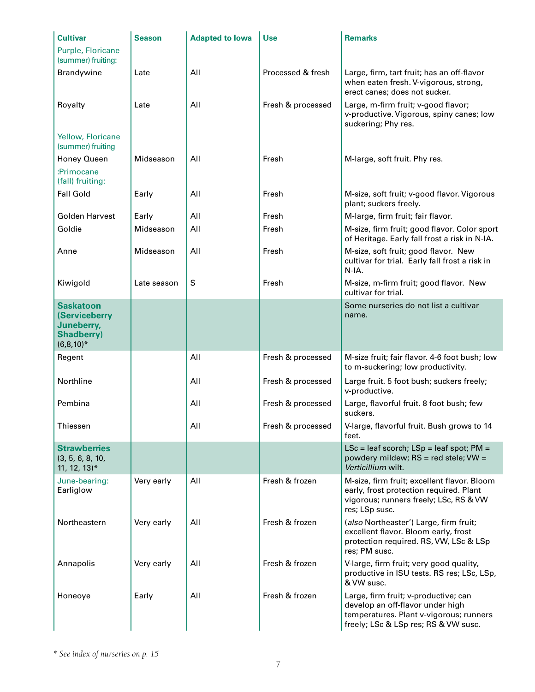| <b>Cultivar</b>                                                                     | <b>Season</b> | <b>Adapted to lowa</b> | <b>Use</b>        | <b>Remarks</b>                                                                                                                                              |
|-------------------------------------------------------------------------------------|---------------|------------------------|-------------------|-------------------------------------------------------------------------------------------------------------------------------------------------------------|
| Purple, Floricane<br>(summer) fruiting:                                             |               |                        |                   |                                                                                                                                                             |
| Brandywine                                                                          | Late          | All                    | Processed & fresh | Large, firm, tart fruit; has an off-flavor<br>when eaten fresh. V-vigorous, strong,<br>erect canes; does not sucker.                                        |
| Royalty                                                                             | Late          | All                    | Fresh & processed | Large, m-firm fruit; v-good flavor;<br>v-productive. Vigorous, spiny canes; low<br>suckering; Phy res.                                                      |
| Yellow, Floricane<br>(summer) fruiting                                              |               |                        |                   |                                                                                                                                                             |
| Honey Queen<br>:Primocane<br>(fall) fruiting:                                       | Midseason     | All                    | Fresh             | M-large, soft fruit. Phy res.                                                                                                                               |
| <b>Fall Gold</b>                                                                    | Early         | All                    | Fresh             | M-size, soft fruit; v-good flavor. Vigorous<br>plant; suckers freely.                                                                                       |
| <b>Golden Harvest</b>                                                               | Early         | All                    | Fresh             | M-large, firm fruit; fair flavor.                                                                                                                           |
| Goldie                                                                              | Midseason     | All                    | Fresh             | M-size, firm fruit; good flavor. Color sport<br>of Heritage. Early fall frost a risk in N-IA.                                                               |
| Anne                                                                                | Midseason     | All                    | Fresh             | M-size, soft fruit; good flavor. New<br>cultivar for trial. Early fall frost a risk in<br>N-IA.                                                             |
| Kiwigold                                                                            | Late season   | S                      | Fresh             | M-size, m-firm fruit; good flavor. New<br>cultivar for trial.                                                                                               |
| <b>Saskatoon</b><br>(Serviceberry<br>Juneberry,<br><b>Shadberry)</b><br>$(6,8,10)*$ |               |                        |                   | Some nurseries do not list a cultivar<br>name.                                                                                                              |
| Regent                                                                              |               | All                    | Fresh & processed | M-size fruit; fair flavor. 4-6 foot bush; low<br>to m-suckering; low productivity.                                                                          |
| Northline                                                                           |               | All                    | Fresh & processed | Large fruit. 5 foot bush; suckers freely;<br>v-productive.                                                                                                  |
| Pembina                                                                             |               | All                    | Fresh & processed | Large, flavorful fruit. 8 foot bush; few<br>suckers.                                                                                                        |
| Thiessen                                                                            |               | All                    | Fresh & processed | V-large, flavorful fruit. Bush grows to 14<br>feet.                                                                                                         |
| <b>Strawberries</b><br>(3, 5, 6, 8, 10,<br>$11, 12, 13$ <sup>*</sup>                |               |                        |                   | $LSc = leaf$ scorch; $LSp = leaf$ spot; $PM =$<br>powdery mildew; RS = red stele; VW =<br>Verticillium wilt.                                                |
| June-bearing:<br>Earliglow                                                          | Very early    | All                    | Fresh & frozen    | M-size, firm fruit; excellent flavor. Bloom<br>early, frost protection required. Plant<br>vigorous; runners freely; LSc, RS & VW<br>res; LSp susc.          |
| Northeastern                                                                        | Very early    | All                    | Fresh & frozen    | (also Northeaster') Large, firm fruit;<br>excellent flavor. Bloom early, frost<br>protection required. RS, VW, LSc & LSp<br>res; PM susc.                   |
| Annapolis                                                                           | Very early    | All                    | Fresh & frozen    | V-large, firm fruit; very good quality,<br>productive in ISU tests. RS res; LSc, LSp,<br>& VW susc.                                                         |
| Honeoye                                                                             | Early         | All                    | Fresh & frozen    | Large, firm fruit; v-productive; can<br>develop an off-flavor under high<br>temperatures. Plant v-vigorous; runners<br>freely; LSc & LSp res; RS & VW susc. |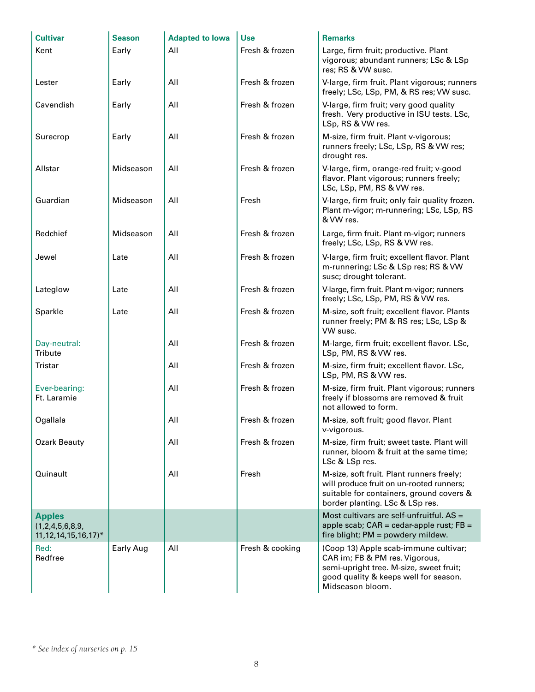| <b>Cultivar</b>                                                           | <b>Season</b> | <b>Adapted to lowa</b> | <b>Use</b>      | <b>Remarks</b>                                                                                                                                                                  |
|---------------------------------------------------------------------------|---------------|------------------------|-----------------|---------------------------------------------------------------------------------------------------------------------------------------------------------------------------------|
| Kent                                                                      | Early         | All                    | Fresh & frozen  | Large, firm fruit; productive. Plant<br>vigorous; abundant runners; LSc & LSp<br>res; RS & VW susc.                                                                             |
| Lester                                                                    | Early         | All                    | Fresh & frozen  | V-large, firm fruit. Plant vigorous; runners<br>freely; LSc, LSp, PM, & RS res; VW susc.                                                                                        |
| Cavendish                                                                 | Early         | All                    | Fresh & frozen  | V-large, firm fruit; very good quality<br>fresh. Very productive in ISU tests. LSc,<br>LSp, RS & VW res.                                                                        |
| Surecrop                                                                  | Early         | All                    | Fresh & frozen  | M-size, firm fruit. Plant v-vigorous;<br>runners freely; LSc, LSp, RS & VW res;<br>drought res.                                                                                 |
| Allstar                                                                   | Midseason     | All                    | Fresh & frozen  | V-large, firm, orange-red fruit; v-good<br>flavor. Plant vigorous; runners freely;<br>LSc, LSp, PM, RS & VW res.                                                                |
| Guardian                                                                  | Midseason     | All                    | Fresh           | V-large, firm fruit; only fair quality frozen.<br>Plant m-vigor; m-runnering; LSc, LSp, RS<br>& VW res.                                                                         |
| Redchief                                                                  | Midseason     | All                    | Fresh & frozen  | Large, firm fruit. Plant m-vigor; runners<br>freely; LSc, LSp, RS & VW res.                                                                                                     |
| Jewel                                                                     | Late          | All                    | Fresh & frozen  | V-large, firm fruit; excellent flavor. Plant<br>m-runnering; LSc & LSp res; RS & VW<br>susc; drought tolerant.                                                                  |
| Lateglow                                                                  | Late          | All                    | Fresh & frozen  | V-large, firm fruit. Plant m-vigor; runners<br>freely; LSc, LSp, PM, RS & VW res.                                                                                               |
| Sparkle                                                                   | Late          | All                    | Fresh & frozen  | M-size, soft fruit; excellent flavor. Plants<br>runner freely; PM & RS res; LSc, LSp &<br>VW susc.                                                                              |
| Day-neutral:<br>Tribute                                                   |               | All                    | Fresh & frozen  | M-large, firm fruit; excellent flavor. LSc,<br>LSp, PM, RS & VW res.                                                                                                            |
| Tristar                                                                   |               | All                    | Fresh & frozen  | M-size, firm fruit; excellent flavor. LSc,<br>LSp, PM, RS & VW res.                                                                                                             |
| Ever-bearing:<br>Ft. Laramie                                              |               | All                    | Fresh & frozen  | M-size, firm fruit. Plant vigorous; runners<br>freely if blossoms are removed & fruit<br>not allowed to form.                                                                   |
| Ogallala                                                                  |               | All                    | Fresh & frozen  | M-size, soft fruit; good flavor. Plant<br>v-vigorous.                                                                                                                           |
| <b>Ozark Beauty</b>                                                       |               | All                    | Fresh & frozen  | M-size, firm fruit; sweet taste. Plant will<br>runner, bloom & fruit at the same time;<br>LSc & LSp res.                                                                        |
| Quinault                                                                  |               | All                    | Fresh           | M-size, soft fruit. Plant runners freely;<br>will produce fruit on un-rooted runners;<br>suitable for containers, ground covers &<br>border planting. LSc & LSp res.            |
| <b>Apples</b><br>(1,2,4,5,6,8,9,<br>$11, 12, 14, 15, 16, 17$ <sup>*</sup> |               |                        |                 | Most cultivars are self-unfruitful. AS =<br>apple scab; $CAR = cedar-apple rust$ ; $FB =$<br>fire blight; PM = powdery mildew.                                                  |
| Red:<br>Redfree                                                           | Early Aug     | All                    | Fresh & cooking | (Coop 13) Apple scab-immune cultivar;<br>CAR im; FB & PM res. Vigorous,<br>semi-upright tree. M-size, sweet fruit;<br>good quality & keeps well for season.<br>Midseason bloom. |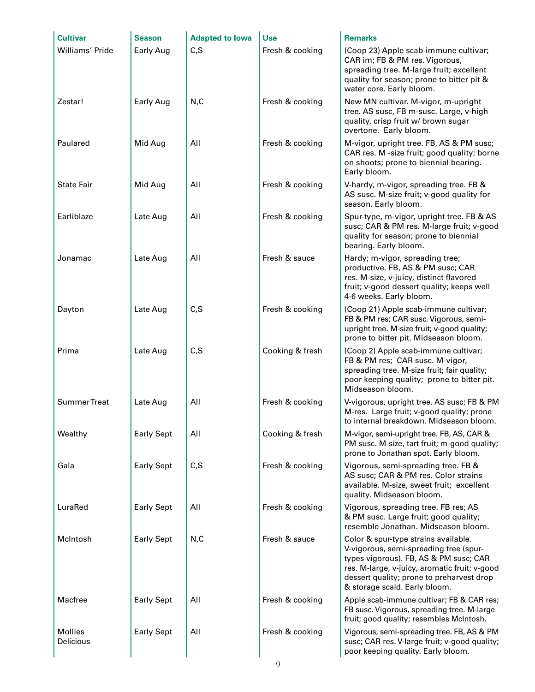| <b>Cultivar</b>             | <b>Season</b>     | <b>Adapted to lowa</b> | <b>Use</b>      | <b>Remarks</b>                                                                                                                                                                                                                                          |
|-----------------------------|-------------------|------------------------|-----------------|---------------------------------------------------------------------------------------------------------------------------------------------------------------------------------------------------------------------------------------------------------|
| Williams' Pride             | <b>Early Aug</b>  | C, S                   | Fresh & cooking | (Coop 23) Apple scab-immune cultivar;<br>CAR im; FB & PM res. Vigorous,<br>spreading tree. M-large fruit; excellent<br>quality for season; prone to bitter pit &<br>water core. Early bloom.                                                            |
| Zestar!                     | Early Aug         | N, C                   | Fresh & cooking | New MN cultivar. M-vigor, m-upright<br>tree. AS susc, FB m-susc. Large, v-high<br>quality, crisp fruit w/ brown sugar<br>overtone. Early bloom.                                                                                                         |
| Paulared                    | Mid Aug           | All                    | Fresh & cooking | M-vigor, upright tree. FB, AS & PM susc;<br>CAR res. M -size fruit; good quality; borne<br>on shoots; prone to biennial bearing.<br>Early bloom.                                                                                                        |
| <b>State Fair</b>           | Mid Aug           | All                    | Fresh & cooking | V-hardy, m-vigor, spreading tree. FB &<br>AS susc. M-size fruit; v-good quality for<br>season. Early bloom.                                                                                                                                             |
| Earliblaze                  | Late Aug          | All                    | Fresh & cooking | Spur-type, m-vigor, upright tree. FB & AS<br>susc; CAR & PM res. M-large fruit; v-good<br>quality for season; prone to biennial<br>bearing. Early bloom.                                                                                                |
| Jonamac                     | Late Aug          | All                    | Fresh & sauce   | Hardy; m-vigor, spreading tree;<br>productive. FB, AS & PM susc; CAR<br>res. M-size, v-juicy, distinct flavored<br>fruit; v-good dessert quality; keeps well<br>4-6 weeks. Early bloom.                                                                 |
| Dayton                      | Late Aug          | C, S                   | Fresh & cooking | (Coop 21) Apple scab-immune cultivar;<br>FB & PM res; CAR susc. Vigorous, semi-<br>upright tree. M-size fruit; v-good quality;<br>prone to bitter pit. Midseason bloom.                                                                                 |
| Prima                       | Late Aug          | C, S                   | Cooking & fresh | (Coop 2) Apple scab-immune cultivar;<br>FB & PM res; CAR susc. M-vigor,<br>spreading tree. M-size fruit; fair quality;<br>poor keeping quality; prone to bitter pit.<br>Midseason bloom.                                                                |
| Summer Treat                | Late Aug          | All                    | Fresh & cooking | V-vigorous, upright tree. AS susc; FB & PM<br>M-res. Large fruit; v-good quality; prone<br>to internal breakdown. Midseason bloom.                                                                                                                      |
| Wealthy                     | <b>Early Sept</b> | All                    | Cooking & fresh | M-vigor, semi-upright tree. FB, AS, CAR &<br>PM susc. M-size, tart fruit; m-good quality;<br>prone to Jonathan spot. Early bloom.                                                                                                                       |
| Gala                        | <b>Early Sept</b> | C, S                   | Fresh & cooking | Vigorous, semi-spreading tree. FB &<br>AS susc; CAR & PM res. Color strains<br>available. M-size, sweet fruit; excellent<br>quality. Midseason bloom.                                                                                                   |
| LuraRed                     | <b>Early Sept</b> | All                    | Fresh & cooking | Vigorous, spreading tree. FB res; AS<br>& PM susc. Large fruit; good quality;<br>resemble Jonathan. Midseason bloom.                                                                                                                                    |
| McIntosh                    | <b>Early Sept</b> | N, C                   | Fresh & sauce   | Color & spur-type strains available.<br>V-vigorous, semi-spreading tree (spur-<br>types vigorous). FB, AS & PM susc; CAR<br>res. M-large, v-juicy, aromatic fruit; v-good<br>dessert quality; prone to preharvest drop<br>& storage scald. Early bloom. |
| Macfree                     | <b>Early Sept</b> | All                    | Fresh & cooking | Apple scab-immune cultivar; FB & CAR res;<br>FB susc. Vigorous, spreading tree. M-large<br>fruit; good quality; resembles McIntosh.                                                                                                                     |
| <b>Mollies</b><br>Delicious | <b>Early Sept</b> | All                    | Fresh & cooking | Vigorous, semi-spreading tree. FB, AS & PM<br>susc; CAR res. V-large fruit; v-good quality;<br>poor keeping quality. Early bloom.                                                                                                                       |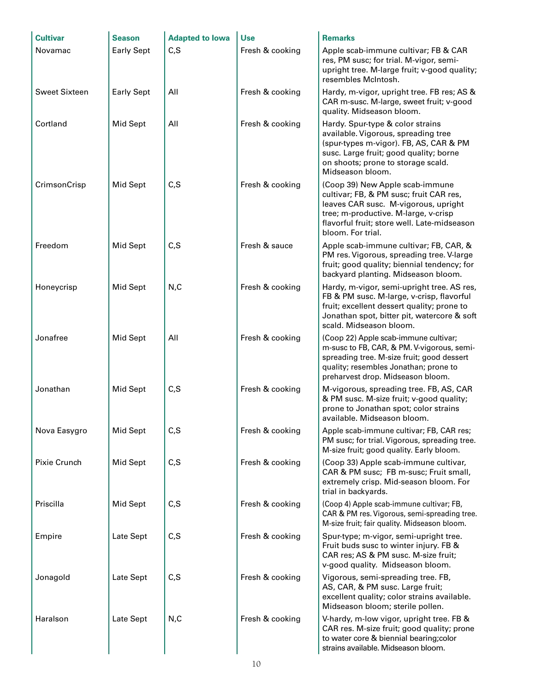| <b>Cultivar</b>      | <b>Season</b>     | <b>Adapted to lowa</b> | <b>Use</b>      | <b>Remarks</b>                                                                                                                                                                                                                 |
|----------------------|-------------------|------------------------|-----------------|--------------------------------------------------------------------------------------------------------------------------------------------------------------------------------------------------------------------------------|
| Novamac              | <b>Early Sept</b> | C, S                   | Fresh & cooking | Apple scab-immune cultivar; FB & CAR<br>res, PM susc; for trial. M-vigor, semi-<br>upright tree. M-large fruit; v-good quality;<br>resembles McIntosh.                                                                         |
| <b>Sweet Sixteen</b> | <b>Early Sept</b> | All                    | Fresh & cooking | Hardy, m-vigor, upright tree. FB res; AS &<br>CAR m-susc. M-large, sweet fruit; v-good<br>quality. Midseason bloom.                                                                                                            |
| Cortland             | Mid Sept          | All                    | Fresh & cooking | Hardy. Spur-type & color strains<br>available. Vigorous, spreading tree<br>(spur-types m-vigor). FB, AS, CAR & PM<br>susc. Large fruit; good quality; borne<br>on shoots; prone to storage scald.<br>Midseason bloom.          |
| CrimsonCrisp         | Mid Sept          | C, S                   | Fresh & cooking | (Coop 39) New Apple scab-immune<br>cultivar; FB, & PM susc; fruit CAR res,<br>leaves CAR susc. M-vigorous, upright<br>tree; m-productive. M-large, v-crisp<br>flavorful fruit; store well. Late-midseason<br>bloom. For trial. |
| Freedom              | Mid Sept          | C, S                   | Fresh & sauce   | Apple scab-immune cultivar; FB, CAR, &<br>PM res. Vigorous, spreading tree. V-large<br>fruit; good quality; biennial tendency; for<br>backyard planting. Midseason bloom.                                                      |
| Honeycrisp           | Mid Sept          | N, C                   | Fresh & cooking | Hardy, m-vigor, semi-upright tree. AS res,<br>FB & PM susc. M-large, v-crisp, flavorful<br>fruit; excellent dessert quality; prone to<br>Jonathan spot, bitter pit, watercore & soft<br>scald. Midseason bloom.                |
| Jonafree             | Mid Sept          | All                    | Fresh & cooking | (Coop 22) Apple scab-immune cultivar;<br>m-susc to FB, CAR, & PM. V-vigorous, semi-<br>spreading tree. M-size fruit; good dessert<br>quality; resembles Jonathan; prone to<br>preharvest drop. Midseason bloom.                |
| Jonathan             | Mid Sept          | C, S                   | Fresh & cooking | M-vigorous, spreading tree. FB, AS, CAR<br>& PM susc. M-size fruit; v-good quality;<br>prone to Jonathan spot; color strains<br>available. Midseason bloom.                                                                    |
| Nova Easygro         | Mid Sept          | C, S                   | Fresh & cooking | Apple scab-immune cultivar; FB, CAR res;<br>PM susc; for trial. Vigorous, spreading tree.<br>M-size fruit; good quality. Early bloom.                                                                                          |
| Pixie Crunch         | Mid Sept          | C, S                   | Fresh & cooking | (Coop 33) Apple scab-immune cultivar,<br>CAR & PM susc; FB m-susc; Fruit small,<br>extremely crisp. Mid-season bloom. For<br>trial in backyards.                                                                               |
| Priscilla            | Mid Sept          | C, S                   | Fresh & cooking | (Coop 4) Apple scab-immune cultivar; FB,<br>CAR & PM res. Vigorous, semi-spreading tree.<br>M-size fruit; fair quality. Midseason bloom.                                                                                       |
| Empire               | Late Sept         | C, S                   | Fresh & cooking | Spur-type; m-vigor, semi-upright tree.<br>Fruit buds susc to winter injury. FB &<br>CAR res; AS & PM susc. M-size fruit;<br>v-good quality. Midseason bloom.                                                                   |
| Jonagold             | Late Sept         | C, S                   | Fresh & cooking | Vigorous, semi-spreading tree. FB,<br>AS, CAR, & PM susc. Large fruit;<br>excellent quality; color strains available.<br>Midseason bloom; sterile pollen.                                                                      |
| Haralson             | Late Sept         | N, C                   | Fresh & cooking | V-hardy, m-low vigor, upright tree. FB &<br>CAR res. M-size fruit; good quality; prone<br>to water core & biennial bearing; color<br>strains available. Midseason bloom.                                                       |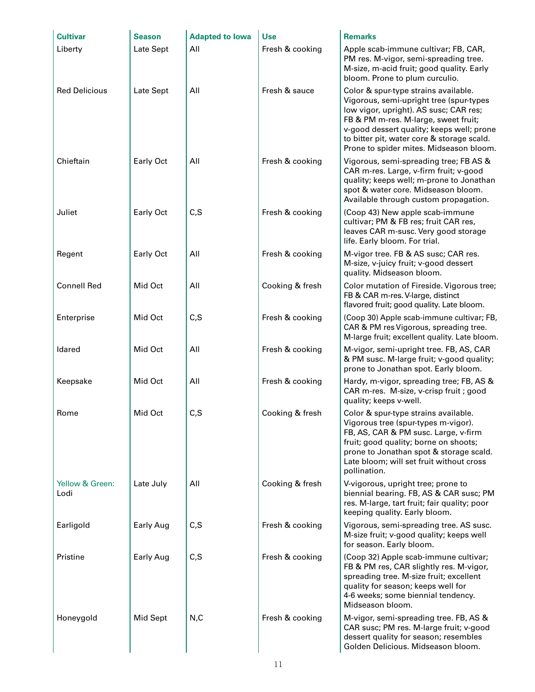| <b>Cultivar</b>         | <b>Season</b> | <b>Adapted to lowa</b> | <b>Use</b>      | <b>Remarks</b>                                                                                                                                                                                                                                                                                          |
|-------------------------|---------------|------------------------|-----------------|---------------------------------------------------------------------------------------------------------------------------------------------------------------------------------------------------------------------------------------------------------------------------------------------------------|
| Liberty                 | Late Sept     | All                    | Fresh & cooking | Apple scab-immune cultivar; FB, CAR,<br>PM res. M-vigor, semi-spreading tree.<br>M-size, m-acid fruit; good quality. Early<br>bloom. Prone to plum curculio.                                                                                                                                            |
| <b>Red Delicious</b>    | Late Sept     | All                    | Fresh & sauce   | Color & spur-type strains available.<br>Vigorous, semi-upright tree (spur-types<br>low vigor, upright). AS susc; CAR res;<br>FB & PM m-res. M-large, sweet fruit;<br>v-good dessert quality; keeps well; prone<br>to bitter pit, water core & storage scald.<br>Prone to spider mites. Midseason bloom. |
| Chieftain               | Early Oct     | All                    | Fresh & cooking | Vigorous, semi-spreading tree; FB AS &<br>CAR m-res. Large, v-firm fruit; v-good<br>quality; keeps well; m-prone to Jonathan<br>spot & water core. Midseason bloom.<br>Available through custom propagation.                                                                                            |
| Juliet                  | Early Oct     | C, S                   | Fresh & cooking | (Coop 43) New apple scab-immune<br>cultivar; PM & FB res; fruit CAR res,<br>leaves CAR m-susc. Very good storage<br>life. Early bloom. For trial.                                                                                                                                                       |
| Regent                  | Early Oct     | All                    | Fresh & cooking | M-vigor tree. FB & AS susc; CAR res.<br>M-size, v-juicy fruit; v-good dessert<br>quality. Midseason bloom.                                                                                                                                                                                              |
| <b>Connell Red</b>      | Mid Oct       | All                    | Cooking & fresh | Color mutation of Fireside. Vigorous tree;<br>FB & CAR m-res. V-large, distinct<br>flavored fruit; good quality. Late bloom.                                                                                                                                                                            |
| Enterprise              | Mid Oct       | C, S                   | Fresh & cooking | (Coop 30) Apple scab-immune cultivar; FB,<br>CAR & PM res Vigorous, spreading tree.<br>M-large fruit; excellent quality. Late bloom.                                                                                                                                                                    |
| Idared                  | Mid Oct       | All                    | Fresh & cooking | M-vigor, semi-upright tree. FB, AS, CAR<br>& PM susc. M-large fruit; v-good quality;<br>prone to Jonathan spot. Early bloom.                                                                                                                                                                            |
| Keepsake                | Mid Oct       | All                    | Fresh & cooking | Hardy, m-vigor, spreading tree; FB, AS &<br>CAR m-res. M-size, v-crisp fruit ; good<br>quality; keeps v-well.                                                                                                                                                                                           |
| Rome                    | Mid Oct       | C, S                   | Cooking & fresh | Color & spur-type strains available.<br>Vigorous tree (spur-types m-vigor).<br>FB, AS, CAR & PM susc. Large, v-firm<br>fruit; good quality; borne on shoots;<br>prone to Jonathan spot & storage scald.<br>Late bloom; will set fruit without cross<br>pollination.                                     |
| Yellow & Green:<br>Lodi | Late July     | All                    | Cooking & fresh | V-vigorous, upright tree; prone to<br>biennial bearing. FB, AS & CAR susc; PM<br>res. M-large, tart fruit; fair quality; poor<br>keeping quality. Early bloom.                                                                                                                                          |
| Earligold               | Early Aug     | C, S                   | Fresh & cooking | Vigorous, semi-spreading tree. AS susc.<br>M-size fruit; v-good quality; keeps well<br>for season. Early bloom.                                                                                                                                                                                         |
| Pristine                | Early Aug     | C, S                   | Fresh & cooking | (Coop 32) Apple scab-immune cultivar;<br>FB & PM res, CAR slightly res. M-vigor,<br>spreading tree. M-size fruit; excellent<br>quality for season; keeps well for<br>4-6 weeks; some biennial tendency.<br>Midseason bloom.                                                                             |
| Honeygold               | Mid Sept      | N, C                   | Fresh & cooking | M-vigor, semi-spreading tree. FB, AS &<br>CAR susc; PM res. M-large fruit; v-good<br>dessert quality for season; resembles<br>Golden Delicious. Midseason bloom.                                                                                                                                        |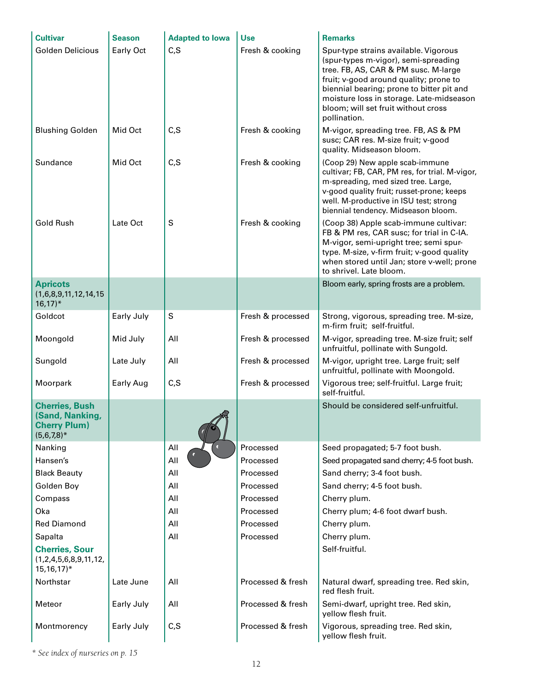| <b>Cultivar</b>                                                                  | <b>Season</b> | <b>Adapted to lowa</b> | <b>Use</b>        | <b>Remarks</b>                                                                                                                                                                                                                                                                                                  |
|----------------------------------------------------------------------------------|---------------|------------------------|-------------------|-----------------------------------------------------------------------------------------------------------------------------------------------------------------------------------------------------------------------------------------------------------------------------------------------------------------|
| Golden Delicious                                                                 | Early Oct     | C, S                   | Fresh & cooking   | Spur-type strains available. Vigorous<br>(spur-types m-vigor), semi-spreading<br>tree. FB, AS, CAR & PM susc. M-large<br>fruit; v-good around quality; prone to<br>biennial bearing; prone to bitter pit and<br>moisture loss in storage. Late-midseason<br>bloom; will set fruit without cross<br>pollination. |
| <b>Blushing Golden</b>                                                           | Mid Oct       | C, S                   | Fresh & cooking   | M-vigor, spreading tree. FB, AS & PM<br>susc; CAR res. M-size fruit; v-good<br>quality. Midseason bloom.                                                                                                                                                                                                        |
| Sundance                                                                         | Mid Oct       | C, S                   | Fresh & cooking   | (Coop 29) New apple scab-immune<br>cultivar; FB, CAR, PM res, for trial. M-vigor,<br>m-spreading, med sized tree. Large,<br>v-good quality fruit; russet-prone; keeps<br>well. M-productive in ISU test; strong<br>biennial tendency. Midseason bloom.                                                          |
| <b>Gold Rush</b>                                                                 | Late Oct      | S                      | Fresh & cooking   | (Coop 38) Apple scab-immune cultivar:<br>FB & PM res, CAR susc; for trial in C-IA.<br>M-vigor, semi-upright tree; semi spur-<br>type. M-size, v-firm fruit; v-good quality<br>when stored until Jan; store v-well; prone<br>to shrivel. Late bloom.                                                             |
| <b>Apricots</b><br>(1,6,8,9,11,12,14,15)<br>$16,17$ <sup>*</sup>                 |               |                        |                   | Bloom early, spring frosts are a problem.                                                                                                                                                                                                                                                                       |
| Goldcot                                                                          | Early July    | $\mathsf S$            | Fresh & processed | Strong, vigorous, spreading tree. M-size,<br>m-firm fruit; self-fruitful.                                                                                                                                                                                                                                       |
| Moongold                                                                         | Mid July      | All                    | Fresh & processed | M-vigor, spreading tree. M-size fruit; self<br>unfruitful, pollinate with Sungold.                                                                                                                                                                                                                              |
| Sungold                                                                          | Late July     | All                    | Fresh & processed | M-vigor, upright tree. Large fruit; self<br>unfruitful, pollinate with Moongold.                                                                                                                                                                                                                                |
| Moorpark                                                                         | Early Aug     | C, S                   | Fresh & processed | Vigorous tree; self-fruitful. Large fruit;<br>self-fruitful.                                                                                                                                                                                                                                                    |
| <b>Cherries, Bush</b><br>(Sand, Nanking,<br><b>Cherry Plum)</b><br>$(5,6,7,8)^*$ |               |                        |                   | Should be considered self-unfruitful.                                                                                                                                                                                                                                                                           |
| Nanking                                                                          |               | All<br>$\bullet$       | Processed         | Seed propagated; 5-7 foot bush.                                                                                                                                                                                                                                                                                 |
| Hansen's                                                                         |               | All                    | Processed         | Seed propagated sand cherry; 4-5 foot bush.                                                                                                                                                                                                                                                                     |
| <b>Black Beauty</b>                                                              |               | All                    | Processed         | Sand cherry; 3-4 foot bush.                                                                                                                                                                                                                                                                                     |
| Golden Boy                                                                       |               | All                    | Processed         | Sand cherry; 4-5 foot bush.                                                                                                                                                                                                                                                                                     |
| Compass                                                                          |               | All                    | Processed         | Cherry plum.                                                                                                                                                                                                                                                                                                    |
| Oka                                                                              |               | All                    | Processed         | Cherry plum; 4-6 foot dwarf bush.                                                                                                                                                                                                                                                                               |
| <b>Red Diamond</b>                                                               |               | All                    | Processed         | Cherry plum.                                                                                                                                                                                                                                                                                                    |
| Sapalta                                                                          |               | All                    | Processed         | Cherry plum.                                                                                                                                                                                                                                                                                                    |
| <b>Cherries, Sour</b><br>(1,2,4,5,6,8,9,11,12,<br>$15, 16, 17$ <sup>*</sup>      |               |                        |                   | Self-fruitful.                                                                                                                                                                                                                                                                                                  |
| Northstar                                                                        | Late June     | All                    | Processed & fresh | Natural dwarf, spreading tree. Red skin,<br>red flesh fruit.                                                                                                                                                                                                                                                    |
| Meteor                                                                           | Early July    | All                    | Processed & fresh | Semi-dwarf, upright tree. Red skin,<br>yellow flesh fruit.                                                                                                                                                                                                                                                      |
| Montmorency                                                                      | Early July    | C, S                   | Processed & fresh | Vigorous, spreading tree. Red skin,<br>yellow flesh fruit.                                                                                                                                                                                                                                                      |

*\* See index of nurseries on p. 15*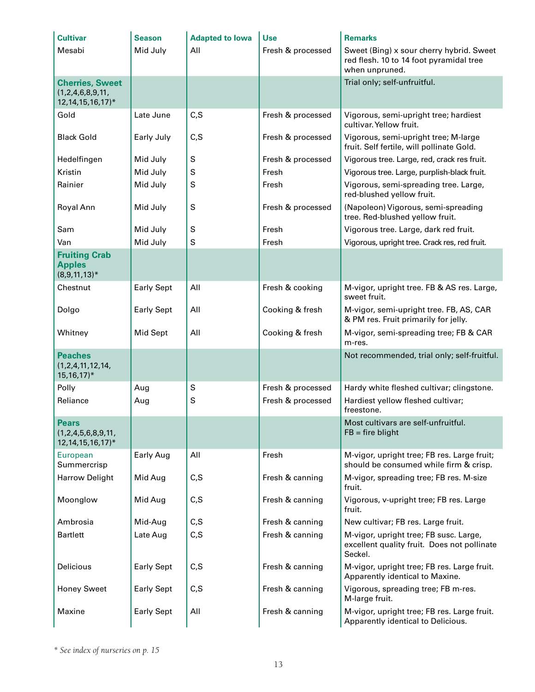| <b>Cultivar</b>                                                 | <b>Season</b>     | <b>Adapted to lowa</b> | <b>Use</b>        | <b>Remarks</b>                                                                                        |
|-----------------------------------------------------------------|-------------------|------------------------|-------------------|-------------------------------------------------------------------------------------------------------|
| Mesabi                                                          | Mid July          | All                    | Fresh & processed | Sweet (Bing) x sour cherry hybrid. Sweet<br>red flesh. 10 to 14 foot pyramidal tree<br>when unpruned. |
| <b>Cherries, Sweet</b>                                          |                   |                        |                   | Trial only; self-unfruitful.                                                                          |
| (1,2,4,6,8,9,11,<br>12, 14, 15, 16, 17)*                        |                   |                        |                   |                                                                                                       |
| Gold                                                            | Late June         | C, S                   | Fresh & processed | Vigorous, semi-upright tree; hardiest<br>cultivar. Yellow fruit.                                      |
| <b>Black Gold</b>                                               | Early July        | C, S                   | Fresh & processed | Vigorous, semi-upright tree; M-large<br>fruit. Self fertile, will pollinate Gold.                     |
| Hedelfingen                                                     | Mid July          | S                      | Fresh & processed | Vigorous tree. Large, red, crack res fruit.                                                           |
| Kristin                                                         | Mid July          | S                      | Fresh             | Vigorous tree. Large, purplish-black fruit.                                                           |
| Rainier                                                         | Mid July          | S                      | Fresh             | Vigorous, semi-spreading tree. Large,<br>red-blushed yellow fruit.                                    |
| Royal Ann                                                       | Mid July          | $\mathsf S$            | Fresh & processed | (Napoleon) Vigorous, semi-spreading<br>tree. Red-blushed yellow fruit.                                |
| Sam                                                             | Mid July          | S                      | Fresh             | Vigorous tree. Large, dark red fruit.                                                                 |
| Van                                                             | Mid July          | S                      | Fresh             | Vigorous, upright tree. Crack res, red fruit.                                                         |
| <b>Fruiting Crab</b><br><b>Apples</b><br>$(8,9,11,13)^*$        |                   |                        |                   |                                                                                                       |
| Chestnut                                                        | <b>Early Sept</b> | All                    | Fresh & cooking   | M-vigor, upright tree. FB & AS res. Large,<br>sweet fruit.                                            |
| Dolgo                                                           | <b>Early Sept</b> | All                    | Cooking & fresh   | M-vigor, semi-upright tree. FB, AS, CAR<br>& PM res. Fruit primarily for jelly.                       |
| Whitney                                                         | Mid Sept          | All                    | Cooking & fresh   | M-vigor, semi-spreading tree; FB & CAR<br>m-res.                                                      |
| <b>Peaches</b><br>(1,2,4,11,12,14,<br>$15, 16, 17$ <sup>*</sup> |                   |                        |                   | Not recommended, trial only; self-fruitful.                                                           |
| Polly                                                           | Aug               | S                      | Fresh & processed | Hardy white fleshed cultivar; clingstone.                                                             |
| Reliance                                                        | Aug               | S                      | Fresh & processed | Hardiest yellow fleshed cultivar;<br>freestone.                                                       |
| <b>Pears</b><br>(1,2,4,5,6,8,9,11,<br>12, 14, 15, 16, 17)*      |                   |                        |                   | Most cultivars are self-unfruitful.<br>$FB = fire$ blight                                             |
| European<br>Summercrisp                                         | Early Aug         | All                    | Fresh             | M-vigor, upright tree; FB res. Large fruit;<br>should be consumed while firm & crisp.                 |
| <b>Harrow Delight</b>                                           | Mid Aug           | C, S                   | Fresh & canning   | M-vigor, spreading tree; FB res. M-size<br>fruit.                                                     |
| Moonglow                                                        | Mid Aug           | C, S                   | Fresh & canning   | Vigorous, v-upright tree; FB res. Large<br>fruit.                                                     |
| Ambrosia                                                        | Mid-Aug           | C, S                   | Fresh & canning   | New cultivar; FB res. Large fruit.                                                                    |
| <b>Bartlett</b>                                                 | Late Aug          | C, S                   | Fresh & canning   | M-vigor, upright tree; FB susc. Large,<br>excellent quality fruit. Does not pollinate<br>Seckel.      |
| Delicious                                                       | <b>Early Sept</b> | C, S                   | Fresh & canning   | M-vigor, upright tree; FB res. Large fruit.<br>Apparently identical to Maxine.                        |
| <b>Honey Sweet</b>                                              | <b>Early Sept</b> | C, S                   | Fresh & canning   | Vigorous, spreading tree; FB m-res.<br>M-large fruit.                                                 |
| Maxine                                                          | <b>Early Sept</b> | All                    | Fresh & canning   | M-vigor, upright tree; FB res. Large fruit.<br>Apparently identical to Delicious.                     |

*\* See index of nurseries on p. 15*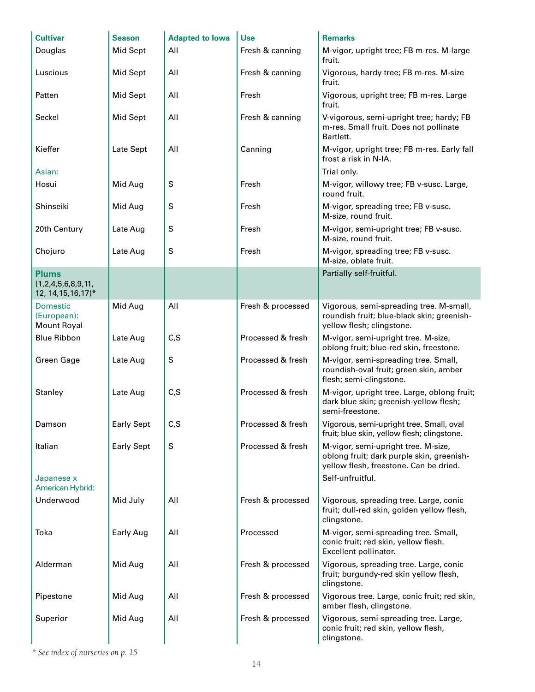| <b>Cultivar</b>                                      | <b>Season</b>     | <b>Adapted to lowa</b> | <b>Use</b>        | <b>Remarks</b>                                                                                                             |
|------------------------------------------------------|-------------------|------------------------|-------------------|----------------------------------------------------------------------------------------------------------------------------|
| Douglas                                              | Mid Sept          | All                    | Fresh & canning   | M-vigor, upright tree; FB m-res. M-large<br>fruit.                                                                         |
| Luscious                                             | Mid Sept          | All                    | Fresh & canning   | Vigorous, hardy tree; FB m-res. M-size<br>fruit.                                                                           |
| Patten                                               | Mid Sept          | All                    | Fresh             | Vigorous, upright tree; FB m-res. Large<br>fruit.                                                                          |
| Seckel                                               | Mid Sept          | All                    | Fresh & canning   | V-vigorous, semi-upright tree; hardy; FB<br>m-res. Small fruit. Does not pollinate<br>Bartlett.                            |
| Kieffer                                              | Late Sept         | All                    | Canning           | M-vigor, upright tree; FB m-res. Early fall<br>frost a risk in N-IA.                                                       |
| Asian:                                               |                   |                        |                   | Trial only.                                                                                                                |
| Hosui                                                | Mid Aug           | S                      | Fresh             | M-vigor, willowy tree; FB v-susc. Large,<br>round fruit.                                                                   |
| Shinseiki                                            | Mid Aug           | S                      | Fresh             | M-vigor, spreading tree; FB v-susc.<br>M-size, round fruit.                                                                |
| 20th Century                                         | Late Aug          | S                      | Fresh             | M-vigor, semi-upright tree; FB v-susc.<br>M-size, round fruit.                                                             |
| Chojuro                                              | Late Aug          | S                      | Fresh             | M-vigor, spreading tree; FB v-susc.<br>M-size, oblate fruit.                                                               |
| <b>Plums</b>                                         |                   |                        |                   | Partially self-fruitful.                                                                                                   |
| (1,2,4,5,6,8,9,11,<br>12, 14, 15, 16, 17)*           |                   |                        |                   |                                                                                                                            |
| <b>Domestic</b><br>(European):<br><b>Mount Royal</b> | Mid Aug           | All                    | Fresh & processed | Vigorous, semi-spreading tree. M-small,<br>roundish fruit; blue-black skin; greenish-<br>yellow flesh; clingstone.         |
| <b>Blue Ribbon</b>                                   | Late Aug          | C, S                   | Processed & fresh | M-vigor, semi-upright tree. M-size,<br>oblong fruit; blue-red skin, freestone.                                             |
| <b>Green Gage</b>                                    | Late Aug          | S                      | Processed & fresh | M-vigor, semi-spreading tree. Small,<br>roundish-oval fruit; green skin, amber<br>flesh; semi-clingstone.                  |
| Stanley                                              | Late Aug          | C, S                   | Processed & fresh | M-vigor, upright tree. Large, oblong fruit;<br>dark blue skin; greenish-yellow flesh;<br>semi-freestone.                   |
| Damson                                               | <b>Early Sept</b> | C,S                    | Processed & fresh | Vigorous, semi-upright tree. Small, oval<br>fruit; blue skin, yellow flesh; clingstone.                                    |
| Italian                                              | <b>Early Sept</b> | S                      | Processed & fresh | M-vigor, semi-upright tree. M-size,<br>oblong fruit; dark purple skin, greenish-<br>yellow flesh, freestone. Can be dried. |
| Japanese x<br>American Hybrid:                       |                   |                        |                   | Self-unfruitful.                                                                                                           |
| Underwood                                            | Mid July          | All                    | Fresh & processed | Vigorous, spreading tree. Large, conic<br>fruit; dull-red skin, golden yellow flesh,<br>clingstone.                        |
| Toka                                                 | Early Aug         | All                    | Processed         | M-vigor, semi-spreading tree. Small,<br>conic fruit; red skin, yellow flesh.<br>Excellent pollinator.                      |
| Alderman                                             | Mid Aug           | All                    | Fresh & processed | Vigorous, spreading tree. Large, conic<br>fruit; burgundy-red skin yellow flesh,<br>clingstone.                            |
| Pipestone                                            | Mid Aug           | All                    | Fresh & processed | Vigorous tree. Large, conic fruit; red skin,<br>amber flesh, clingstone.                                                   |
| Superior                                             | Mid Aug           | All                    | Fresh & processed | Vigorous, semi-spreading tree. Large,<br>conic fruit; red skin, yellow flesh,<br>clingstone.                               |

*\* See index of nurseries on p. 15*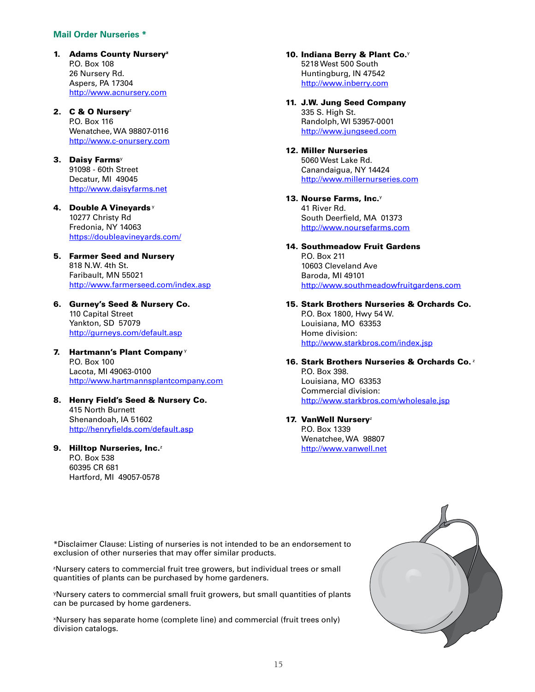#### **Mail Order Nurseries \***

1. Adams County Nursery<sup>z</sup> P.O. Box 108 26 Nursery Rd. Aspers, PA 17304 <http://www.acnursery.com>

#### 2.  $C & O$  Nursery<sup>z</sup> P.O. Box 116 Wenatchee, WA 98807-0116 <http://www.c-onursery.com>

- 3. Daisy Farms<sup>y</sup> 91098 - 60th Street Decatur, MI 49045 <http://www.daisyfarms.net>
- 4. Double A Vineyards<sup>y</sup> 10277 Christy Rd Fredonia, NY 14063 <https://doubleavineyards.com/>
- 5. Farmer Seed and Nursery 818 N.W. 4th St. Faribault, MN 55021 <http://www.farmerseed.com/index.asp>
- 6. Gurney's Seed & Nursery Co. 110 Capital Street Yankton, SD 57079 <http://gurneys.com/default.asp>
- 7. Hartmann's Plant Company<sup>y</sup> P.O. Box 100 Lacota, MI 49063-0100 <http://www.hartmannsplantcompany.com>
- 8. Henry Field's Seed & Nursery Co. 415 North Burnett Shenandoah, IA 51602 <http://henryfields.com/default.asp>
- 9. Hilltop Nurseries, Inc.<sup>2</sup> P.O. Box 538 60395 CR 681 Hartford, MI 49057-0578
- 10. Indiana Berry & Plant Co.<sup>y</sup> 5218 West 500 South Huntingburg, IN 47542 <http://www.inberry.com>
- 11. J.W. Jung Seed Company 335 S. High St. Randolph, WI 53957-0001 <http://www.jungseed.com>
- 12. Miller Nurseries 5060 West Lake Rd. Canandaigua, NY 14424 <http://www.millernurseries.com>
- 13. Nourse Farms,  $Inc.$ 41 River Rd. South Deerfield, MA 01373 <http://www.noursefarms.com>
- 14. Southmeadow Fruit Gardens P.O. Box 211 10603 Cleveland Ave Baroda, MI 49101 <http://www.southmeadowfruitgardens.com>

#### 15. Stark Brothers Nurseries & Orchards Co. P.O. Box 1800, Hwy 54 W. Louisiana, MO 63353 Home division: <http://www.starkbros.com/index.jsp>

- 16. Stark Brothers Nurseries & Orchards Co.<sup>2</sup> P.O. Box 398. Louisiana, MO 63353 Commercial division: <http://www.starkbros.com/wholesale.jsp>
- 17. VanWell Nursery<sup>z</sup> P.O. Box 1339 Wenatchee, WA 98807 <http://www.vanwell.net>

\*Disclaimer Clause: Listing of nurseries is not intended to be an endorsement to exclusion of other nurseries that may offer similar products.

z Nursery caters to commercial fruit tree growers, but individual trees or small quantities of plants can be purchased by home gardeners.

y Nursery caters to commercial small fruit growers, but small quantities of plants can be purcased by home gardeners.

x Nursery has separate home (complete line) and commercial (fruit trees only) division catalogs.